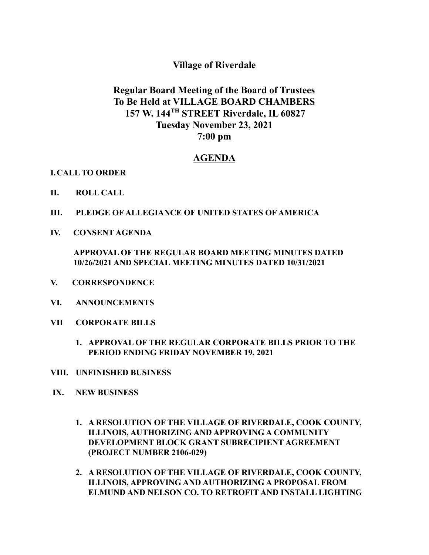## **Village of Riverdale**

## **Regular Board Meeting of the Board of Trustees To Be Held at VILLAGE BOARD CHAMBERS 157 W. 144 TH STREET Riverdale, IL 60827 Tuesday November 23, 2021 7:00 pm**

## **AGENDA**

## **I.CALL TO ORDER**

- **II. ROLL CALL**
- **III. PLEDGE OF ALLEGIANCE OF UNITED STATES OF AMERICA**
- **IV. CONSENT AGENDA**

**APPROVAL OF THE REGULAR BOARD MEETING MINUTES DATED 10/26/2021 AND SPECIAL MEETING MINUTES DATED 10/31/2021**

- **V. CORRESPONDENCE**
- **VI. ANNOUNCEMENTS**
- **VII CORPORATE BILLS**
	- **1. APPROVAL OF THE REGULAR CORPORATE BILLS PRIOR TO THE PERIOD ENDING FRIDAY NOVEMBER 19, 2021**
- **VIII. UNFINISHED BUSINESS**
- **IX. NEW BUSINESS**
	- **1. A RESOLUTION OF THE VILLAGE OF RIVERDALE, COOK COUNTY, ILLINOIS, AUTHORIZING AND APPROVING A COMMUNITY DEVELOPMENT BLOCK GRANT SUBRECIPIENT AGREEMENT (PROJECT NUMBER 2106-029)**
	- **2. A RESOLUTION OF THE VILLAGE OF RIVERDALE, COOK COUNTY, ILLINOIS, APPROVING AND AUTHORIZING A PROPOSAL FROM ELMUND AND NELSON CO. TO RETROFIT AND INSTALL LIGHTING**